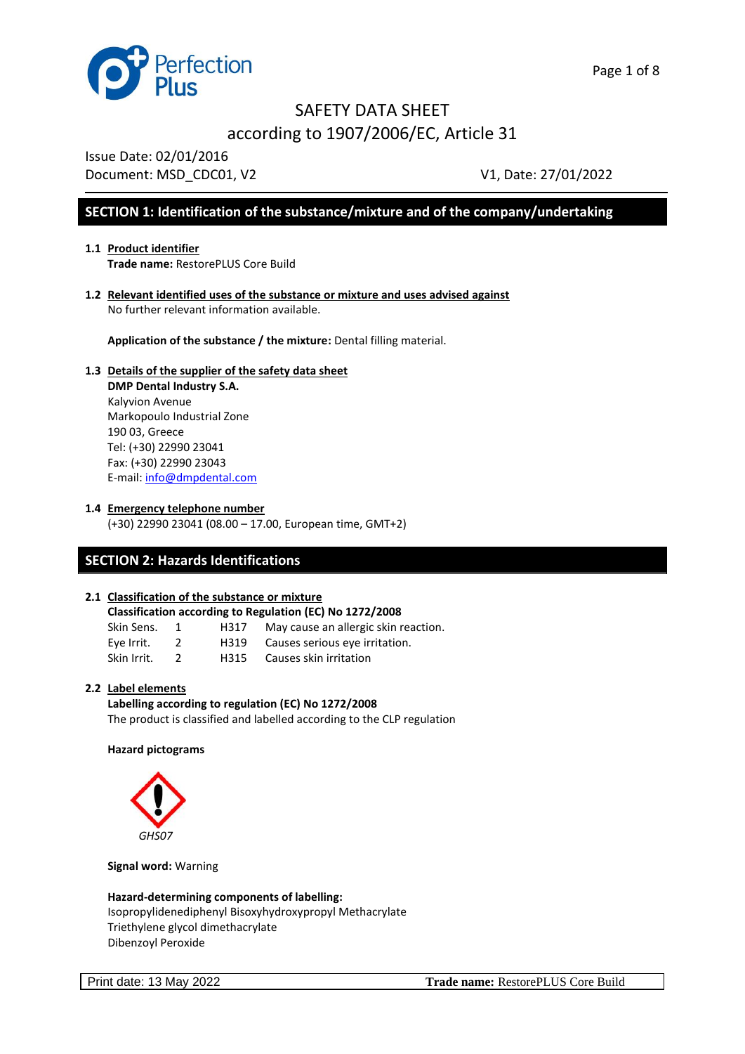

Issue Date: 02/01/2016

Document: MSD CDC01, V2 V1, Date: 27/01/2022

## **SECTION 1: Identification of the substance/mixture and of the company/undertaking**

#### **1.1 Product identifier Trade name:** RestorePLUS Core Build

**1.2 Relevant identified uses of the substance or mixture and uses advised against**  No further relevant information available.

**Application of the substance / the mixture:** Dental filling material.

#### **1.3 Details of the supplier of the safety data sheet DMP Dental Industry S.A.** Kalyvion Avenue Markopoulo Industrial Zone 190 03, Greece Tel: (+30) 22990 23041 Fax: (+30) 22990 23043 E-mail: [info@dmpdental.com](mailto:info@dmpdental.com)

**1.4 Emergency telephone number**

(+30) 22990 23041 (08.00 – 17.00, European time, GMT+2)

## **SECTION 2: Hazards Identifications**

#### **2.1 Classification of the substance or mixture**

| Classification according to Regulation (EC) No 1272/2008 |    |      |                                      |  |
|----------------------------------------------------------|----|------|--------------------------------------|--|
| Skin Sens.                                               | -1 | H317 | May cause an allergic skin reaction. |  |
| Eve Irrit.                                               |    | H319 | Causes serious eye irritation.       |  |
| Skin Irrit.                                              |    | H315 | Causes skin irritation               |  |

#### **2.2 Label elements**

**Labelling according to regulation (EC) No 1272/2008** The product is classified and labelled according to the CLP regulation

#### **Hazard pictograms**



**Signal word:** Warning

**Hazard-determining components of labelling:** Isopropylidenediphenyl Bisoxyhydroxypropyl Methacrylate Triethylene glycol dimethacrylate Dibenzoyl Peroxide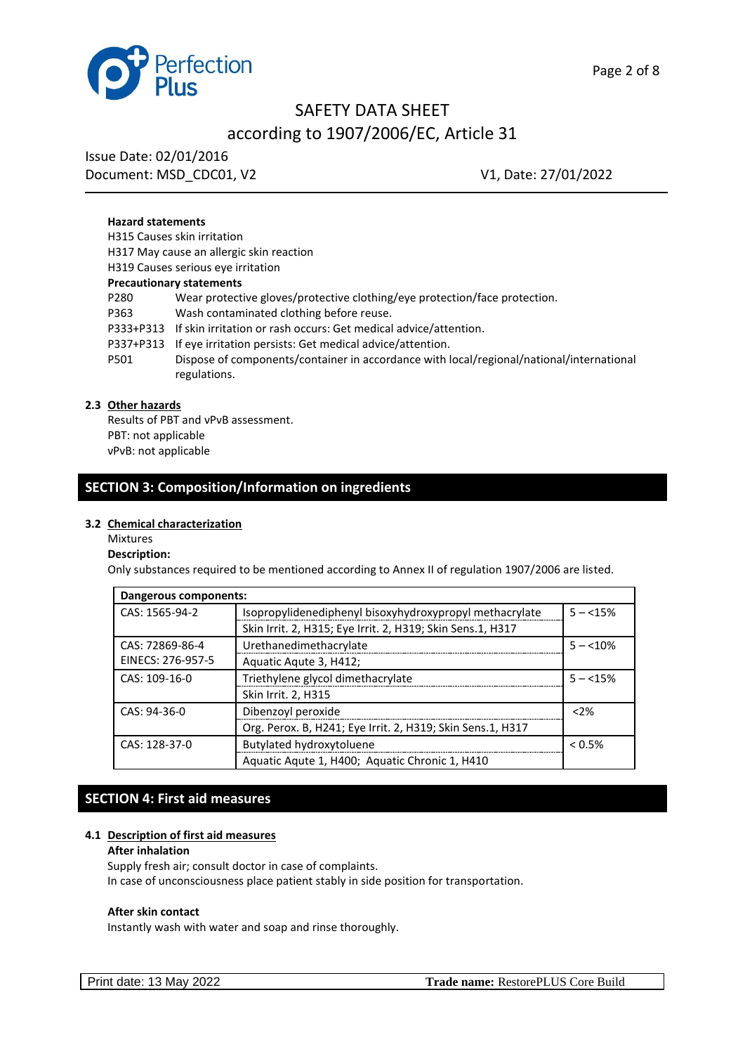

# according to 1907/2006/EC, Article 31

Issue Date: 02/01/2016 Document: MSD CDC01, V2 V1, Date: 27/01/2022

#### **Hazard statements**

H315 Causes skin irritation H317 May cause an allergic skin reaction H319 Causes serious eye irritation **Precautionary statements** P280 Wear protective gloves/protective clothing/eye protection/face protection. P363 Wash contaminated clothing before reuse. P333+P313 If skin irritation or rash occurs: Get medical advice/attention. P337+P313 If eye irritation persists: Get medical advice/attention. P501 Dispose of components/container in accordance with local/regional/national/international regulations.

### **2.3 Other hazards**

Results of PBT and νPνB assessment. PBT: not applicable νPνB: not applicable

## **SECTION 3: Composition/Information on ingredients**

#### **3.2 Chemical characterization**

#### Mixtures

#### **Description:**

Only substances required to be mentioned according to Annex II of regulation 1907/2006 are listed.

| Dangerous components: |                                                            |            |  |  |
|-----------------------|------------------------------------------------------------|------------|--|--|
| CAS: 1565-94-2        | Isopropylidenediphenyl bisoxyhydroxypropyl methacrylate    |            |  |  |
|                       | Skin Irrit. 2, H315; Eye Irrit. 2, H319; Skin Sens.1, H317 |            |  |  |
| CAS: 72869-86-4       | Urethanedimethacrylate                                     | $5 - 10\%$ |  |  |
| EINECS: 276-957-5     | Aquatic Aqute 3, H412;                                     |            |  |  |
| CAS: 109-16-0         | Triethylene glycol dimethacrylate                          | $5 - 15%$  |  |  |
|                       | Skin Irrit. 2, H315                                        |            |  |  |
| CAS: 94-36-0          | Dibenzoyl peroxide                                         | < 2%       |  |  |
|                       | Org. Perox. B, H241; Eye Irrit. 2, H319; Skin Sens.1, H317 |            |  |  |
| CAS: 128-37-0         | Butylated hydroxytoluene                                   | $< 0.5\%$  |  |  |
|                       | Aquatic Aqute 1, H400; Aquatic Chronic 1, H410             |            |  |  |

#### **SECTION 4: First aid measures**

#### **4.1 Description of first aid measures**

#### **After inhalation**

Supply fresh air; consult doctor in case of complaints. In case of unconsciousness place patient stably in side position for transportation.

#### **After skin contact**

Instantly wash with water and soap and rinse thoroughly.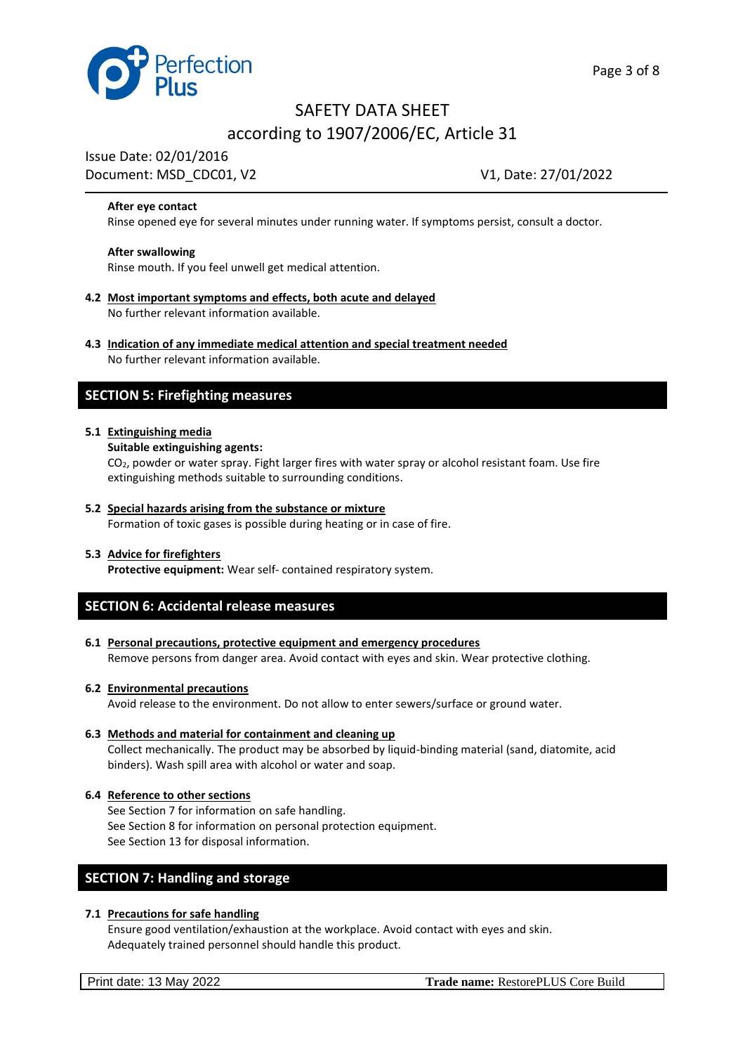

Issue Date: 02/01/2016

# Document: MSD CDC01, V2 V1, Date: 27/01/2022

#### **After eye contact**

Rinse opened eye for several minutes under running water. If symptoms persist, consult a doctor.

#### **After swallowing**

Rinse mouth. If you feel unwell get medical attention.

- **4.2 Most important symptoms and effects, both acute and delayed** No further relevant information available.
- **4.3 Indication of any immediate medical attention and special treatment needed** No further relevant information available.

#### **SECTION 5: Firefighting measures**

#### **5.1 Extinguishing media**

**Suitable extinguishing agents:**

CO2, powder or water spray. Fight larger fires with water spray or alcohol resistant foam. Use fire extinguishing methods suitable to surrounding conditions.

**5.2 Special hazards arising from the substance or mixture** Formation of toxic gases is possible during heating or in case of fire.

#### **5.3 Advice for firefighters**

**Protective equipment:** Wear self- contained respiratory system.

#### **SECTION 6: Accidental release measures**

**6.1 Personal precautions, protective equipment and emergency procedures** Remove persons from danger area. Avoid contact with eyes and skin. Wear protective clothing.

#### **6.2 Environmental precautions**

Avoid release to the environment. Do not allow to enter sewers/surface or ground water.

- **6.3 Methods and material for containment and cleaning up** Collect mechanically. The product may be absorbed by liquid-binding material (sand, diatomite, acid binders). Wash spill area with alcohol or water and soap.
- **6.4 Reference to other sections** See Section 7 for information on safe handling. See Section 8 for information on personal protection equipment. See Section 13 for disposal information.

### **SECTION 7: Handling and storage**

#### **7.1 Precautions for safe handling**

Ensure good ventilation/exhaustion at the workplace. Avoid contact with eyes and skin. Adequately trained personnel should handle this product.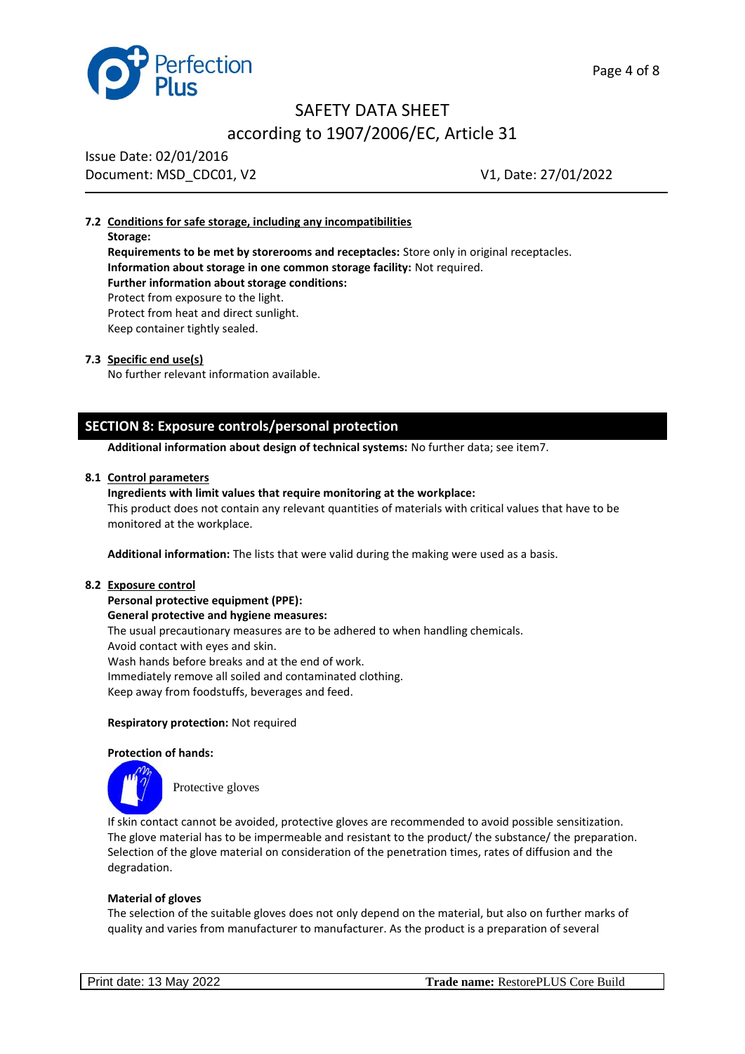



Issue Date: 02/01/2016 Document: MSD\_CDC01, V2 V1, Date: 27/01/2022

#### **7.2 Conditions for safe storage, including any incompatibilities**

**Storage: Requirements to be met by storerooms and receptacles:** Store only in original receptacles. **Information about storage in one common storage facility:** Not required. **Further information about storage conditions:** Protect from exposure to the light. Protect from heat and direct sunlight. Keep container tightly sealed.

#### **7.3 Specific end use(s)**

No further relevant information available.

## **SECTION 8: Exposure controls/personal protection**

**Additional information about design of technical systems:** No further data; see item7.

#### **8.1 Control parameters**

#### **Ingredients with limit values that require monitoring at the workplace:**

This product does not contain any relevant quantities of materials with critical values that have to be monitored at the workplace.

**Additional information:** The lists that were valid during the making were used as a basis.

#### **8.2 Exposure control**

**Personal protective equipment (PPE): General protective and hygiene measures:** The usual precautionary measures are to be adhered to when handling chemicals. Avoid contact with eyes and skin. Wash hands before breaks and at the end of work. Immediately remove all soiled and contaminated clothing. Keep away from foodstuffs, beverages and feed.

#### **Respiratory protection:** Not required

#### **Protection of hands:**



Protective gloves

If skin contact cannot be avoided, protective gloves are recommended to avoid possible sensitization. The glove material has to be impermeable and resistant to the product/ the substance/ the preparation. Selection of the glove material on consideration of the penetration times, rates of diffusion and the degradation.

#### **Material of gloves**

The selection of the suitable gloves does not only depend on the material, but also on further marks of quality and varies from manufacturer to manufacturer. As the product is a preparation of several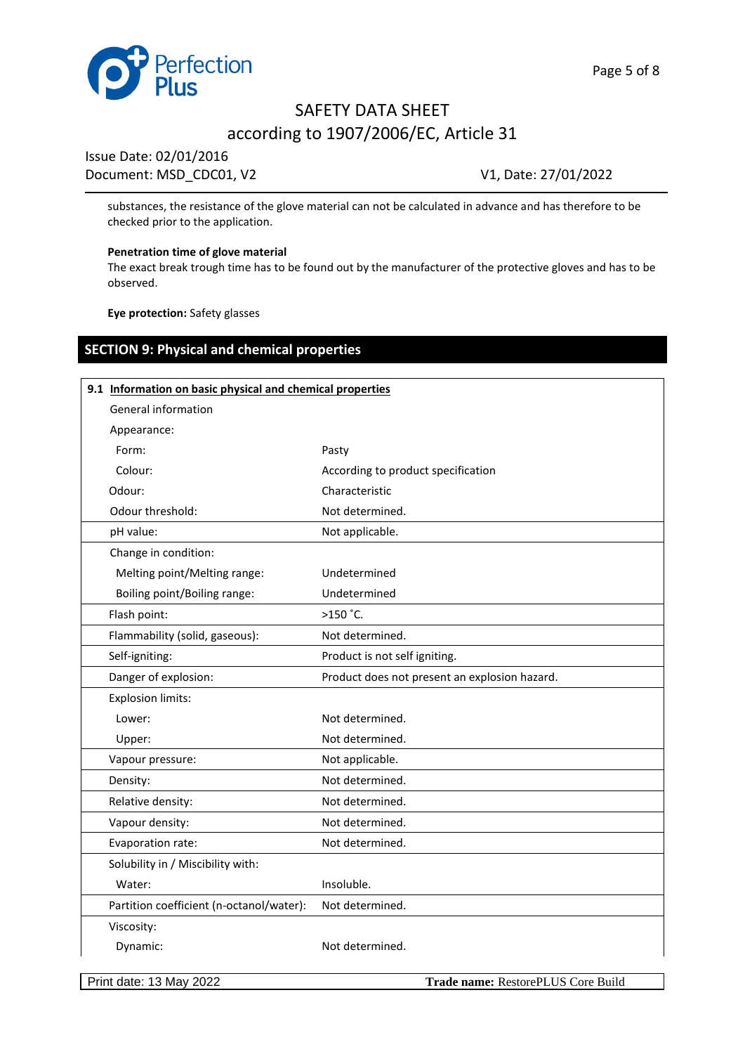

Issue Date: 02/01/2016

Document: MSD\_CDC01, V2 V1, Date: 27/01/2022

substances, the resistance of the glove material can not be calculated in advance and has therefore to be checked prior to the application.

#### **Penetration time of glove material**

The exact break trough time has to be found out by the manufacturer of the protective gloves and has to be observed.

**Eye protection:** Safety glasses

# **SECTION 9: Physical and chemical properties**

| 9.1 Information on basic physical and chemical properties |                                               |  |  |
|-----------------------------------------------------------|-----------------------------------------------|--|--|
| General information                                       |                                               |  |  |
| Appearance:                                               |                                               |  |  |
| Form:                                                     | Pasty                                         |  |  |
| Colour:                                                   | According to product specification            |  |  |
| Odour:                                                    | Characteristic                                |  |  |
| Odour threshold:                                          | Not determined.                               |  |  |
| pH value:                                                 | Not applicable.                               |  |  |
| Change in condition:                                      |                                               |  |  |
| Melting point/Melting range:                              | Undetermined                                  |  |  |
| Boiling point/Boiling range:                              | Undetermined                                  |  |  |
| Flash point:                                              | $>150$ $°C.$                                  |  |  |
| Flammability (solid, gaseous):                            | Not determined.                               |  |  |
| Self-igniting:                                            | Product is not self igniting.                 |  |  |
| Danger of explosion:                                      | Product does not present an explosion hazard. |  |  |
| <b>Explosion limits:</b>                                  |                                               |  |  |
| Lower:                                                    | Not determined.                               |  |  |
| Upper:                                                    | Not determined.                               |  |  |
| Vapour pressure:                                          | Not applicable.                               |  |  |
| Density:                                                  | Not determined.                               |  |  |
| Relative density:                                         | Not determined.                               |  |  |
| Vapour density:                                           | Not determined.                               |  |  |
| Evaporation rate:                                         | Not determined.                               |  |  |
| Solubility in / Miscibility with:                         |                                               |  |  |
| Water:                                                    | Insoluble.                                    |  |  |
| Partition coefficient (n-octanol/water):                  | Not determined.                               |  |  |
| Viscosity:                                                |                                               |  |  |
| Dynamic:                                                  | Not determined.                               |  |  |
|                                                           |                                               |  |  |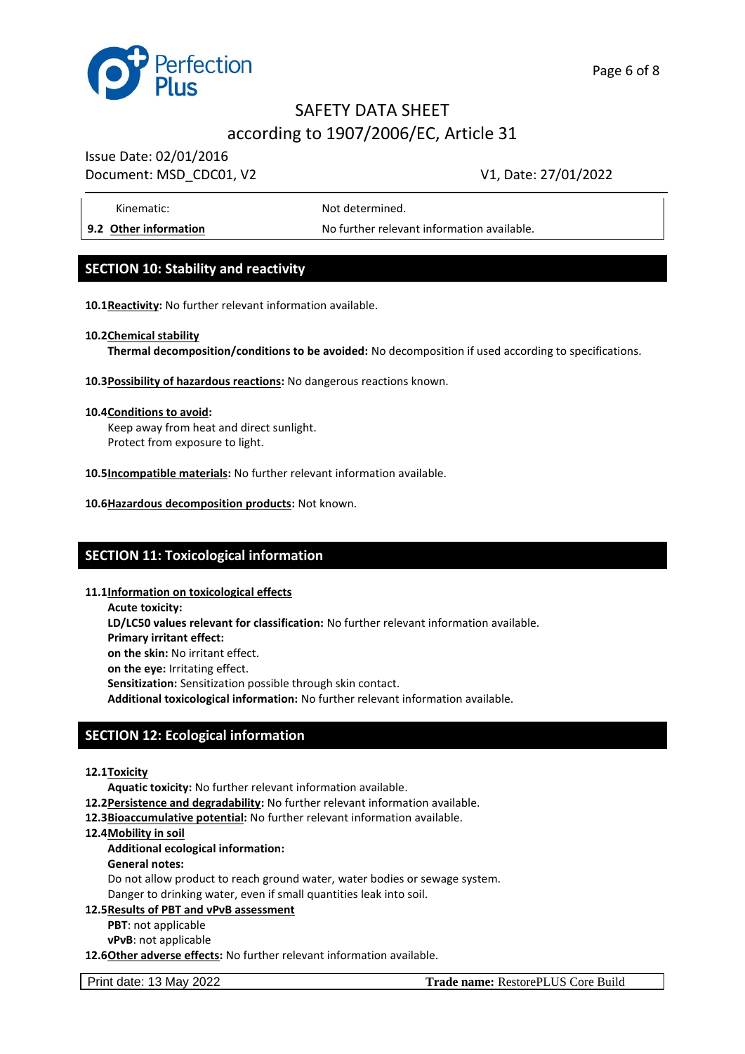

Issue Date: 02/01/2016

# Document: MSD CDC01, V2 V1, Date: 27/01/2022

Kinematic: Not determined.

**9.2 Other information** No further relevant information available.

# **SECTION 10: Stability and reactivity**

**10.1Reactivity:** No further relevant information available.

#### **10.2Chemical stability**

**Thermal decomposition/conditions to be avoided:** No decomposition if used according to specifications.

#### **10.3Possibility of hazardous reactions:** No dangerous reactions known.

#### **10.4Conditions to avoid:**

Keep away from heat and direct sunlight. Protect from exposure to light.

- **10.5Incompatible materials:** No further relevant information available.
- **10.6Hazardous decomposition products:** Not known.

## **SECTION 11: Toxicological information**

#### **11.1Information on toxicological effects**

**Acute toxicity: LD/LC50 values relevant for classification:** No further relevant information available. **Primary irritant effect: on the skin:** No irritant effect. **on the eye:** Irritating effect. **Sensitization:** Sensitization possible through skin contact. **Additional toxicological information:** No further relevant information available.

# **SECTION 12: Ecological information**

#### **12.1Toxicity**

**Aquatic toxicity:** No further relevant information available.

- **12.2Persistence and degradability:** No further relevant information available.
- **12.3Bioaccumulative potential:** No further relevant information available.
- **12.4Mobility in soil**

#### **Additional ecological information:**

**General notes:**

Do not allow product to reach ground water, water bodies or sewage system. Danger to drinking water, even if small quantities leak into soil.

#### **12.5Results of PBT and νPνB assessment**

- **PBT**: not applicable
- **νPνB**: not applicable

**12.6Other adverse effects:** No further relevant information available.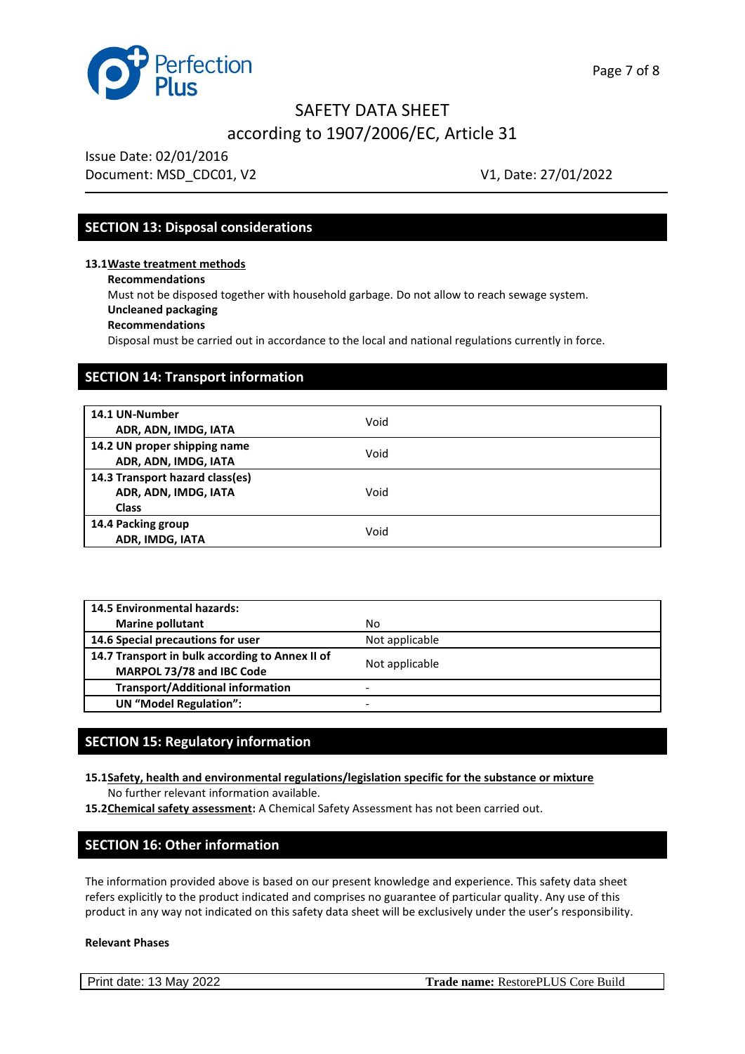

Issue Date: 02/01/2016 Document: MSD CDC01, V2 V1, Date: 27/01/2022

### **SECTION 13: Disposal considerations**

**13.1Waste treatment methods**

**Recommendations**

Must not be disposed together with household garbage. Do not allow to reach sewage system. **Uncleaned packaging**

#### **Recommendations**

Disposal must be carried out in accordance to the local and national regulations currently in force.

# **SECTION 14: Transport information**

| 14.1 UN-Number<br>ADR, ADN, IMDG, IATA                                  | Void |  |
|-------------------------------------------------------------------------|------|--|
| 14.2 UN proper shipping name<br>ADR, ADN, IMDG, IATA                    | Void |  |
| 14.3 Transport hazard class(es)<br>ADR, ADN, IMDG, IATA<br><b>Class</b> | Void |  |
| 14.4 Packing group<br>ADR, IMDG, IATA                                   | Void |  |

| <b>14.5 Environmental hazards:</b>              |                          |  |
|-------------------------------------------------|--------------------------|--|
| <b>Marine pollutant</b>                         | No.                      |  |
| 14.6 Special precautions for user               | Not applicable           |  |
| 14.7 Transport in bulk according to Annex II of |                          |  |
| MARPOL 73/78 and IBC Code                       | Not applicable           |  |
| <b>Transport/Additional information</b>         | $\overline{\phantom{0}}$ |  |
| <b>UN</b> "Model Regulation":                   | $\overline{\phantom{0}}$ |  |

# **SECTION 15: Regulatory information**

- **15.1Safety, health and environmental regulations/legislation specific for the substance or mixture** No further relevant information available.
- **15.2Chemical safety assessment:** A Chemical Safety Assessment has not been carried out.

## **SECTION 16: Other information**

The information provided above is based on our present knowledge and experience. This safety data sheet refers explicitly to the product indicated and comprises no guarantee of particular quality. Any use of this product in any way not indicated on this safety data sheet will be exclusively under the user's responsibility.

#### **Relevant Phases**